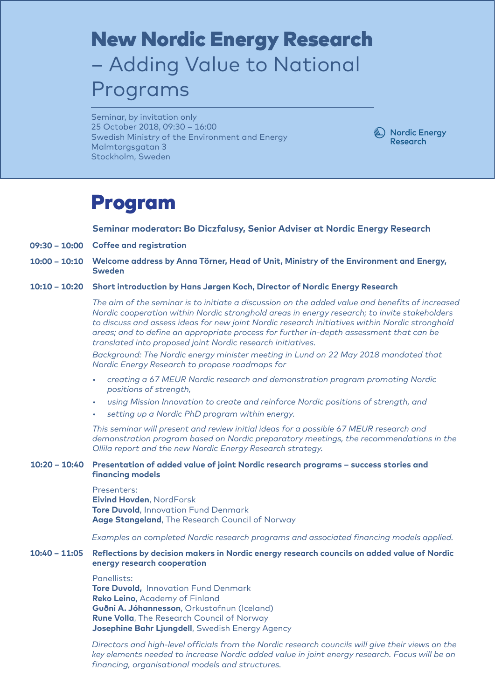# New Nordic Energy Research – Adding Value to National Programs

Seminar, by invitation only 25 October 2018, 09:30 – 16:00 Swedish Ministry of the Environment and Energy Malmtorgsgatan 3 Stockholm, Sweden



### Program

**Seminar moderator: Bo Diczfalusy, Senior Adviser at Nordic Energy Research**

- **09:30 10:00 Coffee and registration**
- **10:00 10:10 Welcome address by Anna Törner, Head of Unit, Ministry of the Environment and Energy, Sweden**
- **10:10 10:20 Short introduction by Hans Jørgen Koch, Director of Nordic Energy Research**

*The aim of the seminar is to initiate a discussion on the added value and benefits of increased Nordic cooperation within Nordic stronghold areas in energy research; to invite stakeholders to discuss and assess ideas for new joint Nordic research initiatives within Nordic stronghold areas; and to define an appropriate process for further in-depth assessment that can be translated into proposed joint Nordic research initiatives.*

*Background: The Nordic energy minister meeting in Lund on 22 May 2018 mandated that Nordic Energy Research to propose roadmaps for*

- *• creating a 67 MEUR Nordic research and demonstration program promoting Nordic positions of strength,*
- *• using Mission Innovation to create and reinforce Nordic positions of strength, and*
- *• setting up a Nordic PhD program within energy.*

*This seminar will present and review initial ideas for a possible 67 MEUR research and demonstration program based on Nordic preparatory meetings, the recommendations in the Ollila report and the new Nordic Energy Research strategy.*

#### **10:20 – 10:40 Presentation of added value of joint Nordic research programs – success stories and financing models**

Presenters:

**Eivind Hovden**, NordForsk **Tore Duvold, Innovation Fund Denmark Aage Stangeland**, The Research Council of Norway

*Examples on completed Nordic research programs and associated financing models applied.*

#### **10:40 – 11:05 Reflections by decision makers in Nordic energy research councils on added value of Nordic energy research cooperation**

### Panellists:

**Tore Duvold,** Innovation Fund Denmark **Reko Leino**, Academy of Finland **Guðni A. Jóhannesson**, Orkustofnun (Iceland) **Rune Volla**, The Research Council of Norway **Josephine Bahr Ljungdell**, Swedish Energy Agency

*Directors and high-level officials from the Nordic research councils will give their views on the key elements needed to increase Nordic added value in joint energy research. Focus will be on financing, organisational models and structures.*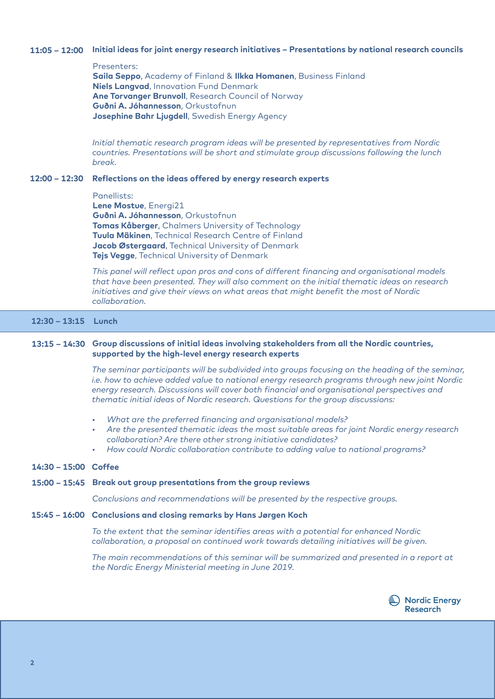#### **11:05 – 12:00 Initial ideas for joint energy research initiatives – Presentations by national research councils**

Presenters:

**Saila Seppo**, Academy of Finland & **Ilkka Homanen**, Business Finland **Niels Langvad**, Innovation Fund Denmark **Ane Torvanger Brunvoll**, Research Council of Norway **Guðni A. Jóhannesson**, Orkustofnun **Josephine Bahr Ljugdell**, Swedish Energy Agency

*Initial thematic research program ideas will be presented by representatives from Nordic countries. Presentations will be short and stimulate group discussions following the lunch break.*

#### **12:00 – 12:30 Reflections on the ideas offered by energy research experts**

Panellists:

**Lene Mostue**, Energi21 **Guðni A. Jóhannesson**, Orkustofnun **Tomas Kåberger**, Chalmers University of Technology **Tuula Mäkinen**, Technical Research Centre of Finland **Jacob Østergaard**, Technical University of Denmark **Tejs Vegge**, Technical University of Denmark

*This panel will reflect upon pros and cons of different financing and organisational models that have been presented. They will also comment on the initial thematic ideas on research initiatives and give their views on what areas that might benefit the most of Nordic collaboration.*

### **12:30 – 13:15 Lunch**

#### **13:15 – 14:30 Group discussions of initial ideas involving stakeholders from all the Nordic countries, supported by the high-level energy research experts**

*The seminar participants will be subdivided into groups focusing on the heading of the seminar, i.e. how to achieve added value to national energy research programs through new joint Nordic energy research. Discussions will cover both financial and organisational perspectives and thematic initial ideas of Nordic research. Questions for the group discussions:*

- *• What are the preferred financing and organisational models?*
- *• Are the presented thematic ideas the most suitable areas for joint Nordic energy research collaboration? Are there other strong initiative candidates?*
- *• How could Nordic collaboration contribute to adding value to national programs?*

#### **14:30 – 15:00 Coffee**

#### **15:00 – 15:45 Break out group presentations from the group reviews**

*Conclusions and recommendations will be presented by the respective groups.*

#### **15:45 – 16:00 Conclusions and closing remarks by Hans Jørgen Koch**

*To the extent that the seminar identifies areas with a potential for enhanced Nordic collaboration, a proposal on continued work towards detailing initiatives will be given.* 

*The main recommendations of this seminar will be summarized and presented in a report at the Nordic Energy Ministerial meeting in June 2019.*

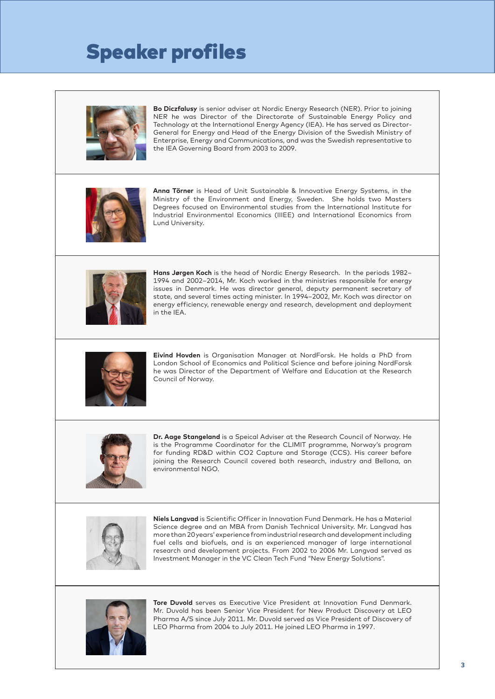## Speaker profiles



**Bo Diczfalusy** is senior adviser at Nordic Energy Research (NER). Prior to joining NER he was Director of the Directorate of Sustainable Energy Policy and Technology at the International Energy Agency (IEA). He has served as Director-General for Energy and Head of the Energy Division of the Swedish Ministry of Enterprise, Energy and Communications, and was the Swedish representative to the IEA Governing Board from 2003 to 2009.



**Anna Törner** is Head of Unit Sustainable & Innovative Energy Systems, in the Ministry of the Environment and Energy, Sweden. She holds two Masters Degrees focused on Environmental studies from the International Institute for Industrial Environmental Economics (IIIEE) and International Economics from Lund University.



**Hans Jørgen Koch** is the head of Nordic Energy Research. In the periods 1982– 1994 and 2002–2014, Mr. Koch worked in the ministries responsible for energy issues in Denmark. He was director general, deputy permanent secretary of state, and several times acting minister. In 1994–2002, Mr. Koch was director on energy efficiency, renewable energy and research, development and deployment in the IEA.



**Eivind Hovden** is Organisation Manager at NordForsk. He holds a PhD from London School of Economics and Political Science and before joining NordForsk he was Director of the Department of Welfare and Education at the Research Council of Norway.



**Dr. Aage Stangeland** is a Speical Adviser at the Research Council of Norway. He is the Programme Coordinator for the CLIMIT programme, Norway's program for funding RD&D within CO2 Capture and Storage (CCS). His career before joining the Research Council covered both research, industry and Bellona, an environmental NGO.



**Niels Langvad** is Scientific Officer in Innovation Fund Denmark. He has a Material Science degree and an MBA from Danish Technical University. Mr. Langvad has more than 20 years' experience from industrial research and development including fuel cells and biofuels, and is an experienced manager of large international research and development projects. From 2002 to 2006 Mr. Langvad served as Investment Manager in the VC Clean Tech Fund "New Energy Solutions".



**Tore Duvold** serves as Executive Vice President at Innovation Fund Denmark. Mr. Duvold has been Senior Vice President for New Product Discovery at LEO Pharma A/S since July 2011. Mr. Duvold served as Vice President of Discovery of LEO Pharma from 2004 to July 2011. He joined LEO Pharma in 1997.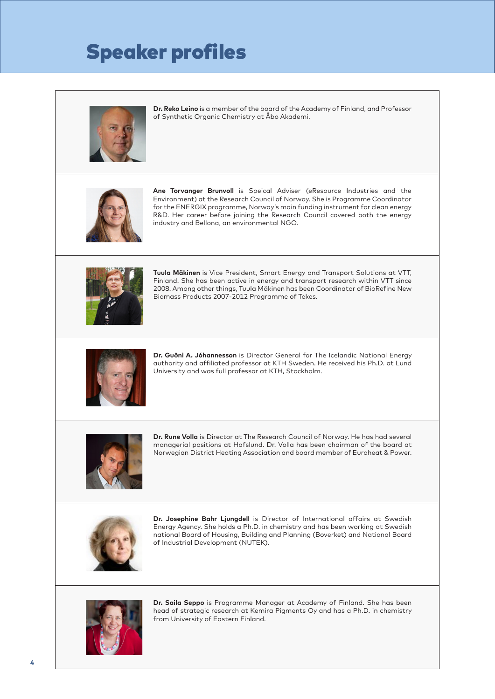## Speaker profiles



**Dr. Reko Leino** is a member of the board of the Academy of Finland, and Professor of Synthetic Organic Chemistry at Åbo Akademi.



**Ane Torvanger Brunvoll** is Speical Adviser (eResource Industries and the Environment) at the Research Council of Norway. She is Programme Coordinator for the ENERGIX programme, Norway's main funding instrument for clean energy R&D. Her career before joining the Research Council covered both the energy industry and Bellona, an environmental NGO.



**Tuula Mäkinen** is Vice President, Smart Energy and Transport Solutions at VTT, Finland. She has been active in energy and transport research within VTT since 2008. Among other things, Tuula Mäkinen has been Coordinator of BioRefine New Biomass Products 2007-2012 Programme of Tekes.



**Dr. Guðni A. Jóhannesson** is Director General for The Icelandic National Energy authority and affiliated professor at KTH Sweden. He received his Ph.D. at Lund University and was full professor at KTH, Stockholm.



**Dr. Rune Volla** is Director at The Research Council of Norway. He has had several managerial positions at Hafslund. Dr. Volla has been chairman of the board at Norwegian District Heating Association and board member of Euroheat & Power.



**Dr. Josephine Bahr Ljungdell** is Director of International affairs at Swedish Energy Agency. She holds a Ph.D. in chemistry and has been working at Swedish national Board of Housing, Building and Planning (Boverket) and National Board of Industrial Development (NUTEK).



**Dr. Saila Seppo** is Programme Manager at Academy of Finland. She has been head of strategic research at Kemira Pigments Oy and has a Ph.D. in chemistry from University of Eastern Finland.